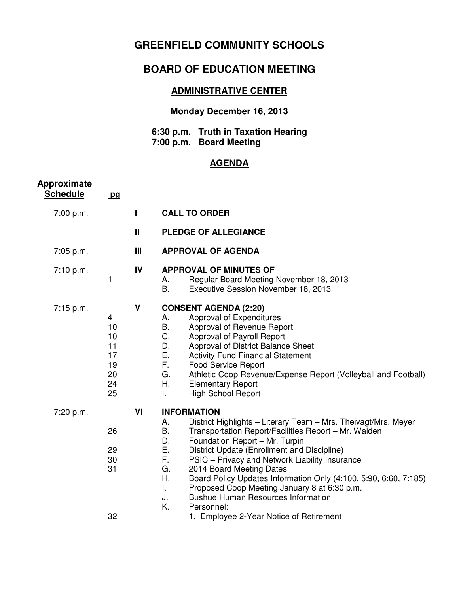## **GREENFIELD COMMUNITY SCHOOLS**

# **BOARD OF EDUCATION MEETING**

### **ADMINISTRATIVE CENTER**

#### **Monday December 16, 2013**

#### **6:30 p.m. Truth in Taxation Hearing 7:00 p.m. Board Meeting**

#### **AGENDA**

| Approximate<br><b>Schedule</b> | pq                                                |              |                                                                                                                                                                                                                                                                                                                                                                                                                                                                                                                                                                                                   |
|--------------------------------|---------------------------------------------------|--------------|---------------------------------------------------------------------------------------------------------------------------------------------------------------------------------------------------------------------------------------------------------------------------------------------------------------------------------------------------------------------------------------------------------------------------------------------------------------------------------------------------------------------------------------------------------------------------------------------------|
| 7:00 p.m.                      |                                                   | L            | <b>CALL TO ORDER</b>                                                                                                                                                                                                                                                                                                                                                                                                                                                                                                                                                                              |
|                                |                                                   | $\mathbf{I}$ | PLEDGE OF ALLEGIANCE                                                                                                                                                                                                                                                                                                                                                                                                                                                                                                                                                                              |
| 7:05 p.m.                      |                                                   | Ш            | <b>APPROVAL OF AGENDA</b>                                                                                                                                                                                                                                                                                                                                                                                                                                                                                                                                                                         |
| 7:10 p.m.                      | 1                                                 | IV           | <b>APPROVAL OF MINUTES OF</b><br>Regular Board Meeting November 18, 2013<br>А.<br>В.<br>Executive Session November 18, 2013                                                                                                                                                                                                                                                                                                                                                                                                                                                                       |
| 7:15 p.m.                      | 4<br>10<br>10<br>11<br>17<br>19<br>20<br>24<br>25 | $\mathsf{V}$ | <b>CONSENT AGENDA (2:20)</b><br>Approval of Expenditures<br>А.<br>Β.<br>Approval of Revenue Report<br>C.<br>Approval of Payroll Report<br>D.<br>Approval of District Balance Sheet<br>Ε.<br><b>Activity Fund Financial Statement</b><br>F.<br><b>Food Service Report</b><br>G.<br>Athletic Coop Revenue/Expense Report (Volleyball and Football)<br>Η.<br><b>Elementary Report</b><br><b>High School Report</b><br>I.                                                                                                                                                                             |
| 7:20 p.m.                      | 26<br>29<br>30<br>31<br>32                        | VI           | <b>INFORMATION</b><br>District Highlights - Literary Team - Mrs. Theivagt/Mrs. Meyer<br>А.<br>Β.<br>Transportation Report/Facilities Report - Mr. Walden<br>D.<br>Foundation Report - Mr. Turpin<br>Ε.<br>District Update (Enrollment and Discipline)<br>F.<br>PSIC - Privacy and Network Liability Insurance<br>G.<br>2014 Board Meeting Dates<br>Η.<br>Board Policy Updates Information Only (4:100, 5:90, 6:60, 7:185)<br>Proposed Coop Meeting January 8 at 6:30 p.m.<br>L.<br>J.<br><b>Bushue Human Resources Information</b><br>K.<br>Personnel:<br>1. Employee 2-Year Notice of Retirement |